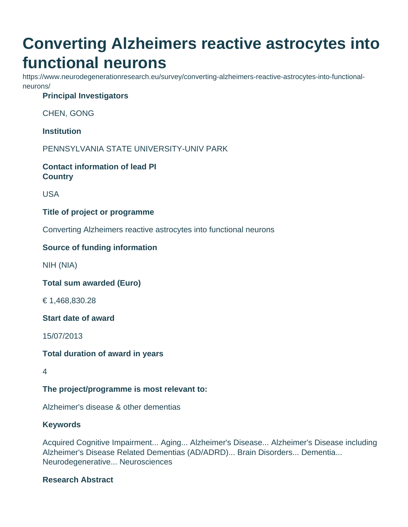# **Converting Alzheimers reactive astrocytes into functional neurons**

https://www.neurodegenerationresearch.eu/survey/converting-alzheimers-reactive-astrocytes-into-functionalneurons/

# **Principal Investigators**

CHEN, GONG

**Institution**

PENNSYLVANIA STATE UNIVERSITY-UNIV PARK

**Contact information of lead PI Country**

USA

## **Title of project or programme**

Converting Alzheimers reactive astrocytes into functional neurons

## **Source of funding information**

NIH (NIA)

**Total sum awarded (Euro)**

€ 1,468,830.28

**Start date of award**

15/07/2013

**Total duration of award in years**

4

**The project/programme is most relevant to:**

Alzheimer's disease & other dementias

#### **Keywords**

Acquired Cognitive Impairment... Aging... Alzheimer's Disease... Alzheimer's Disease including Alzheimer's Disease Related Dementias (AD/ADRD)... Brain Disorders... Dementia... Neurodegenerative... Neurosciences

# **Research Abstract**